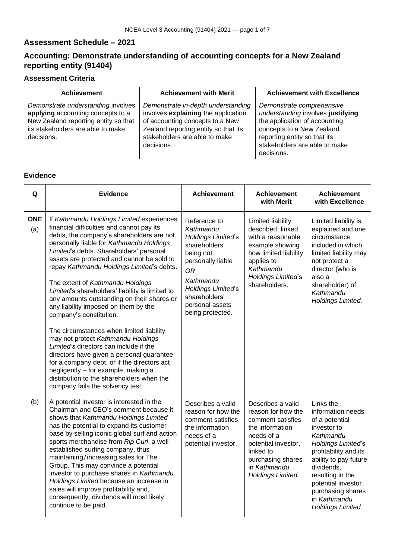#### **Assessment Schedule – 2021**

# **Accounting: Demonstrate understanding of accounting concepts for a New Zealand reporting entity (91404)**

## **Assessment Criteria**

| <b>Achievement</b>                                                                                                                                                 | <b>Achievement with Merit</b>                                                                                                                                                                       | <b>Achievement with Excellence</b>                                                                                                                                                                          |
|--------------------------------------------------------------------------------------------------------------------------------------------------------------------|-----------------------------------------------------------------------------------------------------------------------------------------------------------------------------------------------------|-------------------------------------------------------------------------------------------------------------------------------------------------------------------------------------------------------------|
| Demonstrate understanding involves<br>applying accounting concepts to a<br>New Zealand reporting entity so that<br>its stakeholders are able to make<br>decisions. | Demonstrate in-depth understanding<br>involves explaining the application<br>of accounting concepts to a New<br>Zealand reporting entity so that its<br>stakeholders are able to make<br>decisions. | Demonstrate comprehensive<br>understanding involves justifying<br>the application of accounting<br>concepts to a New Zealand<br>reporting entity so that its<br>stakeholders are able to make<br>decisions. |

### **Evidence**

| Q                 | <b>Evidence</b>                                                                                                                                                                                                                                                                                                                                                                                                                                                                                                                                                                                                                                                                                                                                                                                                                                                               | <b>Achievement</b>                                                                                                                                                                                                      | <b>Achievement</b><br>with Merit                                                                                                                                                            | <b>Achievement</b><br>with Excellence                                                                                                                                                                                                                                         |
|-------------------|-------------------------------------------------------------------------------------------------------------------------------------------------------------------------------------------------------------------------------------------------------------------------------------------------------------------------------------------------------------------------------------------------------------------------------------------------------------------------------------------------------------------------------------------------------------------------------------------------------------------------------------------------------------------------------------------------------------------------------------------------------------------------------------------------------------------------------------------------------------------------------|-------------------------------------------------------------------------------------------------------------------------------------------------------------------------------------------------------------------------|---------------------------------------------------------------------------------------------------------------------------------------------------------------------------------------------|-------------------------------------------------------------------------------------------------------------------------------------------------------------------------------------------------------------------------------------------------------------------------------|
| <b>ONE</b><br>(a) | If Kathmandu Holdings Limited experiences<br>financial difficulties and cannot pay its<br>debts, the company's shareholders are not<br>personally liable for Kathmandu Holdings<br>Limited's debts. Shareholders' personal<br>assets are protected and cannot be sold to<br>repay Kathmandu Holdings Limited's debts.<br>The extent of Kathmandu Holdings<br>Limited's shareholders' liability is limited to<br>any amounts outstanding on their shares or<br>any liability imposed on them by the<br>company's constitution.<br>The circumstances when limited liability<br>may not protect Kathmandu Holdings<br>Limited's directors can include if the<br>directors have given a personal guarantee<br>for a company debt, or if the directors act<br>negligently - for example, making a<br>distribution to the shareholders when the<br>company fails the solvency test. | Reference to<br>Kathmandu<br><b>Holdings Limited's</b><br>shareholders<br>being not<br>personally liable<br><b>OR</b><br>Kathmandu<br><b>Holdings Limited's</b><br>shareholders'<br>personal assets<br>being protected. | Limited liability<br>described, linked<br>with a reasonable<br>example showing<br>how limited liability<br>applies to<br>Kathmandu<br><b>Holdings Limited's</b><br>shareholders.            | Limited liability is<br>explained and one<br>circumstance<br>included in which<br>limited liability may<br>not protect a<br>director (who is<br>also a<br>shareholder) of<br>Kathmandu<br>Holdings Limited.                                                                   |
| (b)               | A potential investor is interested in the<br>Chairman and CEO's comment because it<br>shows that Kathmandu Holdings Limited<br>has the potential to expand its customer<br>base by selling iconic global surf and action<br>sports merchandise from Rip Curl, a well-<br>established surfing company, thus<br>maintaining/increasing sales for The<br>Group. This may convince a potential<br>investor to purchase shares in Kathmandu<br>Holdings Limited because an increase in<br>sales will improve profitability and,<br>consequently, dividends will most likely<br>continue to be paid.                                                                                                                                                                                                                                                                                | Describes a valid<br>reason for how the<br>comment satisfies<br>the information<br>needs of a<br>potential investor.                                                                                                    | Describes a valid<br>reason for how the<br>comment satisfies<br>the information<br>needs of a<br>potential investor,<br>linked to<br>purchasing shares<br>in Kathmandu<br>Holdings Limited. | Links the<br>information needs<br>of a potential<br>investor to<br>Kathmandu<br><b>Holdings Limited's</b><br>profitability and its<br>ability to pay future<br>dividends,<br>resulting in the<br>potential investor<br>purchasing shares<br>in Kathmandu<br>Holdings Limited. |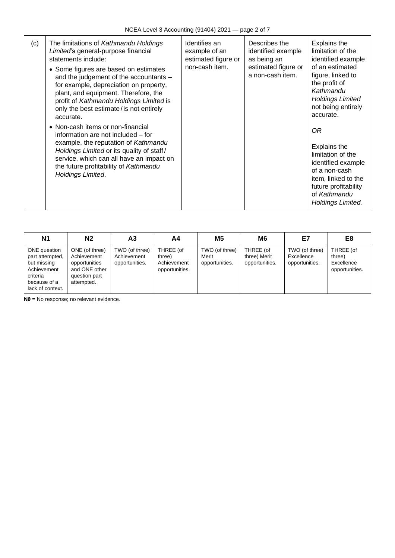| (c) | The limitations of Kathmandu Holdings<br>Limited's general-purpose financial<br>statements include:<br>• Some figures are based on estimates<br>and the judgement of the accountants -<br>for example, depreciation on property,<br>plant, and equipment. Therefore, the<br>profit of Kathmandu Holdings Limited is<br>only the best estimate/ is not entirely<br>accurate.<br>• Non-cash items or non-financial<br>information are not included – for<br>example, the reputation of Kathmandu<br>Holdings Limited or its quality of staff/<br>service, which can all have an impact on<br>the future profitability of Kathmandu<br>Holdings Limited. | Identifies an<br>example of an<br>estimated figure or<br>non-cash item. | Describes the<br>identified example<br>as being an<br>estimated figure or<br>a non-cash item. | Explains the<br>limitation of the<br>identified example<br>of an estimated<br>figure, linked to<br>the profit of<br>Kathmandu<br><b>Holdings Limited</b><br>not being entirely<br>accurate.<br>0R<br><b>Explains the</b><br>limitation of the<br>identified example<br>of a non-cash<br>item, linked to the<br>future profitability<br>of Kathmandu<br>Holdings Limited. |
|-----|-------------------------------------------------------------------------------------------------------------------------------------------------------------------------------------------------------------------------------------------------------------------------------------------------------------------------------------------------------------------------------------------------------------------------------------------------------------------------------------------------------------------------------------------------------------------------------------------------------------------------------------------------------|-------------------------------------------------------------------------|-----------------------------------------------------------------------------------------------|--------------------------------------------------------------------------------------------------------------------------------------------------------------------------------------------------------------------------------------------------------------------------------------------------------------------------------------------------------------------------|
|-----|-------------------------------------------------------------------------------------------------------------------------------------------------------------------------------------------------------------------------------------------------------------------------------------------------------------------------------------------------------------------------------------------------------------------------------------------------------------------------------------------------------------------------------------------------------------------------------------------------------------------------------------------------------|-------------------------------------------------------------------------|-----------------------------------------------------------------------------------------------|--------------------------------------------------------------------------------------------------------------------------------------------------------------------------------------------------------------------------------------------------------------------------------------------------------------------------------------------------------------------------|

| <b>N1</b>                                                                                                     | N2                                                                                             | А3                                              | Α4                                                   | <b>M5</b>                                 | M6                                          | E7                                             | E8                                                  |
|---------------------------------------------------------------------------------------------------------------|------------------------------------------------------------------------------------------------|-------------------------------------------------|------------------------------------------------------|-------------------------------------------|---------------------------------------------|------------------------------------------------|-----------------------------------------------------|
| ONE question<br>part attempted,<br>but missing<br>Achievement<br>criteria<br>because of a<br>lack of context. | ONE (of three)<br>Achievement<br>opportunities<br>and ONE other<br>question part<br>attempted. | TWO (of three)<br>Achievement<br>opportunities. | THREE (of<br>three)<br>Achievement<br>opportunities. | TWO (of three)<br>Merit<br>opportunities. | THREE (of<br>three) Merit<br>opportunities. | TWO (of three)<br>Excellence<br>opportunities. | THREE (of<br>three)<br>Excellence<br>opportunities. |

**N0** = No response; no relevant evidence.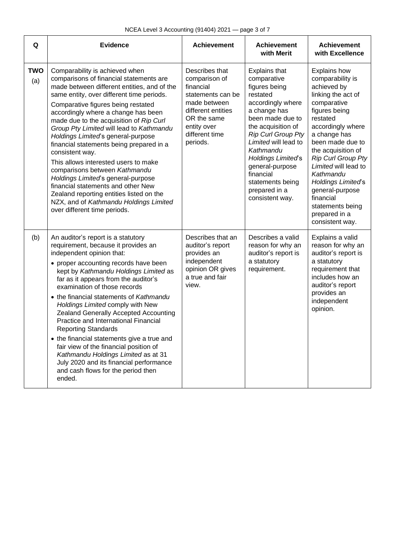| Q                 | <b>Evidence</b>                                                                                                                                                                                                                                                                                                                                                                                                                                                                                                                                                                                                                                                                                                           | <b>Achievement</b>                                                                                                                                                  | <b>Achievement</b><br>with Merit                                                                                                                                                                                                                                                                                         | <b>Achievement</b><br>with Excellence                                                                                                                                                                                                                                                                                                                                            |
|-------------------|---------------------------------------------------------------------------------------------------------------------------------------------------------------------------------------------------------------------------------------------------------------------------------------------------------------------------------------------------------------------------------------------------------------------------------------------------------------------------------------------------------------------------------------------------------------------------------------------------------------------------------------------------------------------------------------------------------------------------|---------------------------------------------------------------------------------------------------------------------------------------------------------------------|--------------------------------------------------------------------------------------------------------------------------------------------------------------------------------------------------------------------------------------------------------------------------------------------------------------------------|----------------------------------------------------------------------------------------------------------------------------------------------------------------------------------------------------------------------------------------------------------------------------------------------------------------------------------------------------------------------------------|
| <b>TWO</b><br>(a) | Comparability is achieved when<br>comparisons of financial statements are<br>made between different entities, and of the<br>same entity, over different time periods.<br>Comparative figures being restated<br>accordingly where a change has been<br>made due to the acquisition of Rip Curl<br>Group Pty Limited will lead to Kathmandu<br>Holdings Limited's general-purpose<br>financial statements being prepared in a<br>consistent way.<br>This allows interested users to make<br>comparisons between Kathmandu<br>Holdings Limited's general-purpose<br>financial statements and other New<br>Zealand reporting entities listed on the<br>NZX, and of Kathmandu Holdings Limited<br>over different time periods. | Describes that<br>comparison of<br>financial<br>statements can be<br>made between<br>different entities<br>OR the same<br>entity over<br>different time<br>periods. | Explains that<br>comparative<br>figures being<br>restated<br>accordingly where<br>a change has<br>been made due to<br>the acquisition of<br><b>Rip Curl Group Pty</b><br>Limited will lead to<br>Kathmandu<br>Holdings Limited's<br>general-purpose<br>financial<br>statements being<br>prepared in a<br>consistent way. | <b>Explains how</b><br>comparability is<br>achieved by<br>linking the act of<br>comparative<br>figures being<br>restated<br>accordingly where<br>a change has<br>been made due to<br>the acquisition of<br>Rip Curl Group Pty<br>Limited will lead to<br>Kathmandu<br>Holdings Limited's<br>general-purpose<br>financial<br>statements being<br>prepared in a<br>consistent way. |
| (b)               | An auditor's report is a statutory<br>requirement, because it provides an<br>independent opinion that:<br>• proper accounting records have been<br>kept by Kathmandu Holdings Limited as<br>far as it appears from the auditor's<br>examination of those records<br>• the financial statements of Kathmandu<br>Holdings Limited comply with New<br>Zealand Generally Accepted Accounting<br>Practice and International Financial<br><b>Reporting Standards</b><br>• the financial statements give a true and<br>fair view of the financial position of<br>Kathmandu Holdings Limited as at 31<br>July 2020 and its financial performance<br>and cash flows for the period then<br>ended.                                  | Describes that an<br>auditor's report<br>provides an<br>independent<br>opinion OR gives<br>a true and fair<br>view.                                                 | Describes a valid<br>reason for why an<br>auditor's report is<br>a statutory<br>requirement.                                                                                                                                                                                                                             | Explains a valid<br>reason for why an<br>auditor's report is<br>a statutory<br>requirement that<br>includes how an<br>auditor's report<br>provides an<br>independent<br>opinion.                                                                                                                                                                                                 |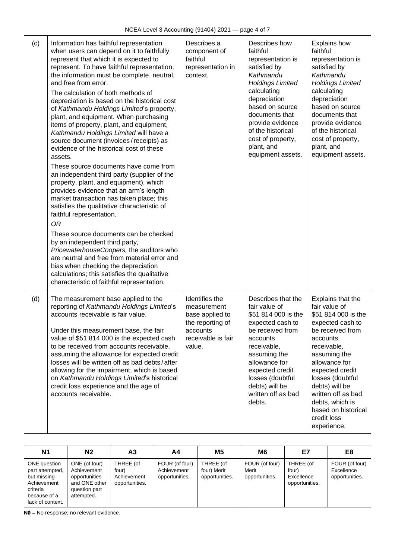| (c) | Information has faithful representation<br>when users can depend on it to faithfully<br>represent that which it is expected to<br>represent. To have faithful representation,<br>the information must be complete, neutral,<br>and free from error.<br>The calculation of both methods of<br>depreciation is based on the historical cost<br>of Kathmandu Holdings Limited's property,<br>plant, and equipment. When purchasing<br>items of property, plant, and equipment,<br>Kathmandu Holdings Limited will have a<br>source document (invoices/receipts) as<br>evidence of the historical cost of these<br>assets.<br>These source documents have come from<br>an independent third party (supplier of the<br>property, plant, and equipment), which<br>provides evidence that an arm's length<br>market transaction has taken place; this<br>satisfies the qualitative characteristic of<br>faithful representation.<br><b>OR</b><br>These source documents can be checked<br>by an independent third party,<br>PricewaterhouseCoopers, the auditors who<br>are neutral and free from material error and<br>bias when checking the depreciation<br>calculations; this satisfies the qualitative<br>characteristic of faithful representation. | Describes a<br>component of<br>faithful<br>representation in<br>context.                                         | Describes how<br>faithful<br>representation is<br>satisfied by<br>Kathmandu<br><b>Holdings Limited</b><br>calculating<br>depreciation<br>based on source<br>documents that<br>provide evidence<br>of the historical<br>cost of property,<br>plant, and<br>equipment assets. | <b>Explains how</b><br>faithful<br>representation is<br>satisfied by<br>Kathmandu<br><b>Holdings Limited</b><br>calculating<br>depreciation<br>based on source<br>documents that<br>provide evidence<br>of the historical<br>cost of property,<br>plant, and<br>equipment assets.                                    |
|-----|----------------------------------------------------------------------------------------------------------------------------------------------------------------------------------------------------------------------------------------------------------------------------------------------------------------------------------------------------------------------------------------------------------------------------------------------------------------------------------------------------------------------------------------------------------------------------------------------------------------------------------------------------------------------------------------------------------------------------------------------------------------------------------------------------------------------------------------------------------------------------------------------------------------------------------------------------------------------------------------------------------------------------------------------------------------------------------------------------------------------------------------------------------------------------------------------------------------------------------------------------|------------------------------------------------------------------------------------------------------------------|-----------------------------------------------------------------------------------------------------------------------------------------------------------------------------------------------------------------------------------------------------------------------------|----------------------------------------------------------------------------------------------------------------------------------------------------------------------------------------------------------------------------------------------------------------------------------------------------------------------|
| (d) | The measurement base applied to the<br>reporting of Kathmandu Holdings Limited's<br>accounts receivable is fair value.<br>Under this measurement base, the fair<br>value of \$51 814 000 is the expected cash<br>to be received from accounts receivable,<br>assuming the allowance for expected credit<br>losses will be written off as bad debts/after<br>allowing for the impairment, which is based<br>on Kathmandu Holdings Limited's historical<br>credit loss experience and the age of<br>accounts receivable.                                                                                                                                                                                                                                                                                                                                                                                                                                                                                                                                                                                                                                                                                                                             | Identifies the<br>measurement<br>base applied to<br>the reporting of<br>accounts<br>receivable is fair<br>value. | Describes that the<br>fair value of<br>\$51 814 000 is the<br>expected cash to<br>be received from<br>accounts<br>receivable,<br>assuming the<br>allowance for<br>expected credit<br>losses (doubtful<br>debts) will be<br>written off as bad<br>debts.                     | Explains that the<br>fair value of<br>\$51 814 000 is the<br>expected cash to<br>be received from<br>accounts<br>receivable,<br>assuming the<br>allowance for<br>expected credit<br>losses (doubtful<br>debts) will be<br>written off as bad<br>debts, which is<br>based on historical<br>credit loss<br>experience. |

| <b>N1</b>                                                                                                     | N <sub>2</sub>                                                                                | А3                                                  | A4                                              | <b>M5</b>                                  | M6                                        | E7                                                 | E8                                             |
|---------------------------------------------------------------------------------------------------------------|-----------------------------------------------------------------------------------------------|-----------------------------------------------------|-------------------------------------------------|--------------------------------------------|-------------------------------------------|----------------------------------------------------|------------------------------------------------|
| ONE question<br>part attempted,<br>but missing<br>Achievement<br>criteria<br>because of a<br>lack of context. | ONE (of four)<br>Achievement<br>opportunities<br>and ONE other<br>question part<br>attempted. | THREE (of<br>four)<br>Achievement<br>opportunities. | FOUR (of four)<br>Achievement<br>opportunities. | THREE (of<br>four) Merit<br>opportunities. | FOUR (of four)<br>Merit<br>opportunities. | THREE (of<br>four)<br>Excellence<br>opportunities. | FOUR (of four)<br>Excellence<br>opportunities. |

**N0** = No response; no relevant evidence.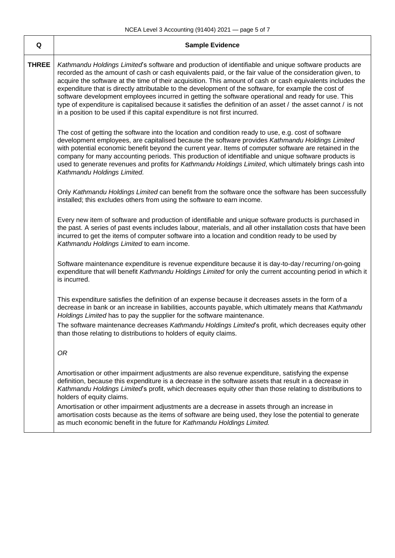| Q            | <b>Sample Evidence</b>                                                                                                                                                                                                                                                                                                                                                                                                                                                                                                                                                                                                                                                                                                                             |
|--------------|----------------------------------------------------------------------------------------------------------------------------------------------------------------------------------------------------------------------------------------------------------------------------------------------------------------------------------------------------------------------------------------------------------------------------------------------------------------------------------------------------------------------------------------------------------------------------------------------------------------------------------------------------------------------------------------------------------------------------------------------------|
| <b>THREE</b> | Kathmandu Holdings Limited's software and production of identifiable and unique software products are<br>recorded as the amount of cash or cash equivalents paid, or the fair value of the consideration given, to<br>acquire the software at the time of their acquisition. This amount of cash or cash equivalents includes the<br>expenditure that is directly attributable to the development of the software, for example the cost of<br>software development employees incurred in getting the software operational and ready for use. This<br>type of expenditure is capitalised because it satisfies the definition of an asset / the asset cannot / is not<br>in a position to be used if this capital expenditure is not first incurred. |
|              | The cost of getting the software into the location and condition ready to use, e.g. cost of software<br>development employees, are capitalised because the software provides Kathmandu Holdings Limited<br>with potential economic benefit beyond the current year. Items of computer software are retained in the<br>company for many accounting periods. This production of identifiable and unique software products is<br>used to generate revenues and profits for Kathmandu Holdings Limited, which ultimately brings cash into<br>Kathmandu Holdings Limited.                                                                                                                                                                               |
|              | Only Kathmandu Holdings Limited can benefit from the software once the software has been successfully<br>installed; this excludes others from using the software to earn income.                                                                                                                                                                                                                                                                                                                                                                                                                                                                                                                                                                   |
|              | Every new item of software and production of identifiable and unique software products is purchased in<br>the past. A series of past events includes labour, materials, and all other installation costs that have been<br>incurred to get the items of computer software into a location and condition ready to be used by<br>Kathmandu Holdings Limited to earn income.                                                                                                                                                                                                                                                                                                                                                                          |
|              | Software maintenance expenditure is revenue expenditure because it is day-to-day/recurring/on-going<br>expenditure that will benefit Kathmandu Holdings Limited for only the current accounting period in which it<br>is incurred.                                                                                                                                                                                                                                                                                                                                                                                                                                                                                                                 |
|              | This expenditure satisfies the definition of an expense because it decreases assets in the form of a<br>decrease in bank or an increase in liabilities, accounts payable, which ultimately means that Kathmandu<br>Holdings Limited has to pay the supplier for the software maintenance.                                                                                                                                                                                                                                                                                                                                                                                                                                                          |
|              | The software maintenance decreases Kathmandu Holdings Limited's profit, which decreases equity other<br>than those relating to distributions to holders of equity claims.                                                                                                                                                                                                                                                                                                                                                                                                                                                                                                                                                                          |
|              | 0 <sub>R</sub>                                                                                                                                                                                                                                                                                                                                                                                                                                                                                                                                                                                                                                                                                                                                     |
|              | Amortisation or other impairment adjustments are also revenue expenditure, satisfying the expense<br>definition, because this expenditure is a decrease in the software assets that result in a decrease in<br>Kathmandu Holdings Limited's profit, which decreases equity other than those relating to distributions to<br>holders of equity claims.                                                                                                                                                                                                                                                                                                                                                                                              |
|              | Amortisation or other impairment adjustments are a decrease in assets through an increase in<br>amortisation costs because as the items of software are being used, they lose the potential to generate<br>as much economic benefit in the future for Kathmandu Holdings Limited.                                                                                                                                                                                                                                                                                                                                                                                                                                                                  |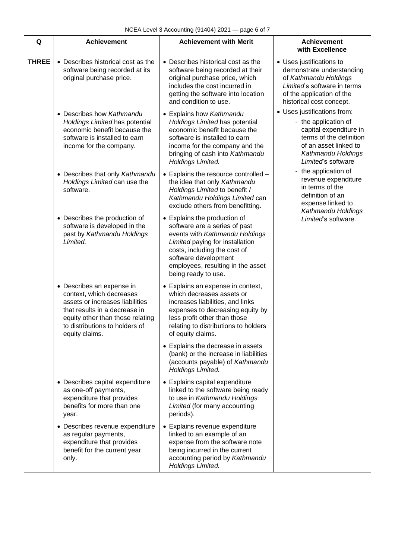| Q            | <b>Achievement</b>                                                                                                                                                                                                | <b>Achievement with Merit</b>                                                                                                                                                                                                                          | <b>Achievement</b><br>with Excellence                                                                                                                                         |
|--------------|-------------------------------------------------------------------------------------------------------------------------------------------------------------------------------------------------------------------|--------------------------------------------------------------------------------------------------------------------------------------------------------------------------------------------------------------------------------------------------------|-------------------------------------------------------------------------------------------------------------------------------------------------------------------------------|
| <b>THREE</b> | • Describes historical cost as the<br>software being recorded at its<br>original purchase price.                                                                                                                  | • Describes historical cost as the<br>software being recorded at their<br>original purchase price, which<br>includes the cost incurred in<br>getting the software into location<br>and condition to use.                                               | • Uses justifications to<br>demonstrate understanding<br>of Kathmandu Holdings<br>Limited's software in terms<br>of the application of the<br>historical cost concept.        |
|              | • Describes how Kathmandu<br>Holdings Limited has potential<br>economic benefit because the<br>software is installed to earn<br>income for the company.                                                           | • Explains how Kathmandu<br>Holdings Limited has potential<br>economic benefit because the<br>software is installed to earn<br>income for the company and the<br>bringing of cash into Kathmandu<br>Holdings Limited.                                  | • Uses justifications from:<br>- the application of<br>capital expenditure in<br>terms of the definition<br>of an asset linked to<br>Kathmandu Holdings<br>Limited's software |
|              | • Describes that only Kathmandu<br>Holdings Limited can use the<br>software.                                                                                                                                      | • Explains the resource controlled -<br>the idea that only Kathmandu<br>Holdings Limited to benefit /<br>Kathmandu Holdings Limited can<br>exclude others from benefitting.                                                                            | - the application of<br>revenue expenditure<br>in terms of the<br>definition of an<br>expense linked to<br>Kathmandu Holdings                                                 |
|              | • Describes the production of<br>software is developed in the<br>past by Kathmandu Holdings<br>Limited.                                                                                                           | • Explains the production of<br>software are a series of past<br>events with Kathmandu Holdings<br>Limited paying for installation<br>costs, including the cost of<br>software development<br>employees, resulting in the asset<br>being ready to use. | Limited's software.                                                                                                                                                           |
|              | • Describes an expense in<br>context, which decreases<br>assets or increases liabilities<br>that results in a decrease in<br>equity other than those relating<br>to distributions to holders of<br>equity claims. | • Explains an expense in context,<br>which decreases assets or<br>increases liabilities, and links<br>expenses to decreasing equity by<br>less profit other than those<br>relating to distributions to holders<br>of equity claims.                    |                                                                                                                                                                               |
|              |                                                                                                                                                                                                                   | • Explains the decrease in assets<br>(bank) or the increase in liabilities<br>(accounts payable) of Kathmandu<br>Holdings Limited.                                                                                                                     |                                                                                                                                                                               |
|              | • Describes capital expenditure<br>as one-off payments,<br>expenditure that provides<br>benefits for more than one<br>year.                                                                                       | • Explains capital expenditure<br>linked to the software being ready<br>to use in Kathmandu Holdings<br>Limited (for many accounting<br>periods).                                                                                                      |                                                                                                                                                                               |
|              | • Describes revenue expenditure<br>as regular payments,<br>expenditure that provides<br>benefit for the current year<br>only.                                                                                     | • Explains revenue expenditure<br>linked to an example of an<br>expense from the software note<br>being incurred in the current<br>accounting period by Kathmandu<br>Holdings Limited.                                                                 |                                                                                                                                                                               |